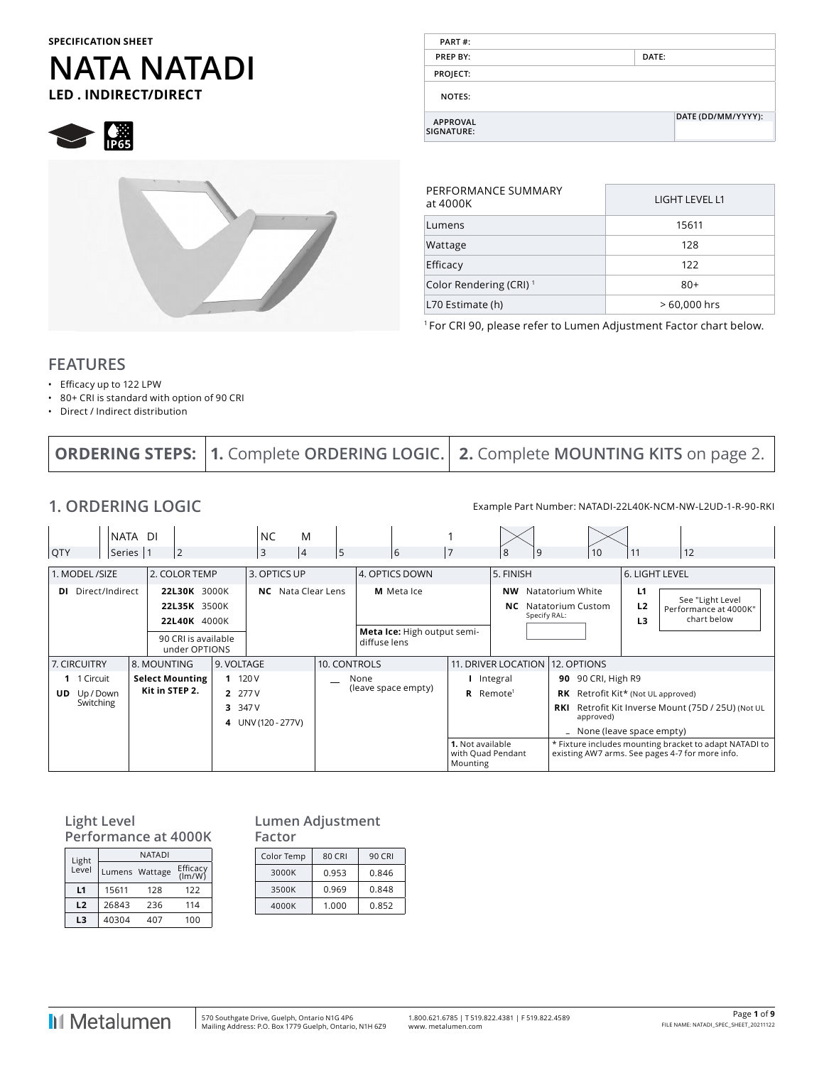#### **SPECIFICATION SHEET**

## **NATA NATADI LED . INDIRECT/DIRECT**

 $\bigotimes$   $\bigotimes_{PGS}$ 



| PART#:                        |                    |  |
|-------------------------------|--------------------|--|
| PREP BY:                      | DATE:              |  |
| PROJECT:                      |                    |  |
| <b>NOTES:</b>                 |                    |  |
| <b>APPROVAL</b><br>SIGNATURE: | DATE (DD/MM/YYYY): |  |
|                               |                    |  |

| PERFORMANCE SUMMARY<br>at 4000K    | LIGHT LEVEL L1 |
|------------------------------------|----------------|
| Lumens                             | 15611          |
| Wattage                            | 128            |
| Efficacy                           | 122            |
| Color Rendering (CRI) <sup>1</sup> | $80+$          |
| L70 Estimate (h)                   | > 60,000 hrs   |

1 For CRI 90, please refer to Lumen Adjustment Factor chart below.

#### **FEATURES**

- Efficacy up to 122 LPW
- 80+ CRI is standard with option of 90 CRI
- Direct / Indirect distribution

|  |  | <b>ORDERING STEPS: 1.</b> Complete ORDERING LOGIC.   2. Complete MOUNTING KITS on page 2. |
|--|--|-------------------------------------------------------------------------------------------|
|--|--|-------------------------------------------------------------------------------------------|

**1. ORDERING LOGIC** Example Part Number: NATADI-22L40K-NCM-NW-L2UD-1-R-90-RKI

| QTY                                           | NATA DI<br>Series  1<br>$\overline{2}$       | <b>NC</b><br>M<br>3<br>$\vert 4$                   | 5            | 6                                           |                              | 8<br>9                          | 10                                                                                                  | 11                                     | 12                                                                                                        |
|-----------------------------------------------|----------------------------------------------|----------------------------------------------------|--------------|---------------------------------------------|------------------------------|---------------------------------|-----------------------------------------------------------------------------------------------------|----------------------------------------|-----------------------------------------------------------------------------------------------------------|
| 1. MODEL /SIZE                                | 2. COLOR TEMP                                | 3. OPTICS UP                                       |              | 4. OPTICS DOWN                              |                              | 5. FINISH                       |                                                                                                     | 6. LIGHT LEVEL                         |                                                                                                           |
| Direct/Indirect<br>DI.                        | 22L30K 3000K<br>22L35K 3500K<br>22L40K 4000K | <b>NC</b> Nata Clear Lens                          |              | M Meta Ice                                  |                              | <b>NW</b><br>NC.                | Natatorium White<br>Natatorium Custom<br>Specify RAL:                                               | L1<br>L <sub>2</sub><br>L <sub>3</sub> | See "Light Level<br>Performance at 4000K"<br>chart below                                                  |
|                                               | 90 CRI is available<br>under OPTIONS         |                                                    |              | Meta Ice: High output semi-<br>diffuse lens |                              |                                 |                                                                                                     |                                        |                                                                                                           |
| 7. CIRCUITRY                                  | 8. MOUNTING                                  | 9. VOLTAGE                                         | 10. CONTROLS |                                             |                              |                                 | 11. DRIVER LOCATION 12. OPTIONS                                                                     |                                        |                                                                                                           |
| 1 1 Circuit<br><b>UD</b> Up/Down<br>Switching | <b>Select Mounting</b><br>Kit in STEP 2.     | 11120V<br>2 277 V<br>3 347 V<br>4 UNV (120 - 277V) |              | None<br>(leave space empty)                 | R                            | Integral<br>Remote <sup>1</sup> | 90 90 CRI, High R9<br>RK Retrofit Kit* (Not UL approved)<br>approved)<br>- None (leave space empty) |                                        | <b>RKI</b> Retrofit Kit Inverse Mount (75D / 25U) (Not UL                                                 |
|                                               |                                              |                                                    |              |                                             | 1. Not available<br>Mounting | with Quad Pendant               |                                                                                                     |                                        | * Fixture includes mounting bracket to adapt NATADI to<br>existing AW7 arms. See pages 4-7 for more info. |

#### **Light Level Performance at 4000K**

| Light | <b>NATADI</b>  |                    |     |  |  |  |  |
|-------|----------------|--------------------|-----|--|--|--|--|
| Level | Lumens Wattage | Efficacy<br>(lm/W) |     |  |  |  |  |
| L1    | 15611          | 128                | 122 |  |  |  |  |
| L2    | 26843          | 236                | 114 |  |  |  |  |
| L3    | 40304          | 407                | 100 |  |  |  |  |

 $\overline{1}$ 

#### **Lumen Adjustment Factor**

| Color Temp | <b>80 CRI</b> | 90 CRI |
|------------|---------------|--------|
| 3000K      | 0.953         | 0.846  |
| 3500K      | 0.969         | 0.848  |
| 4000K      | 1.000         | 0.852  |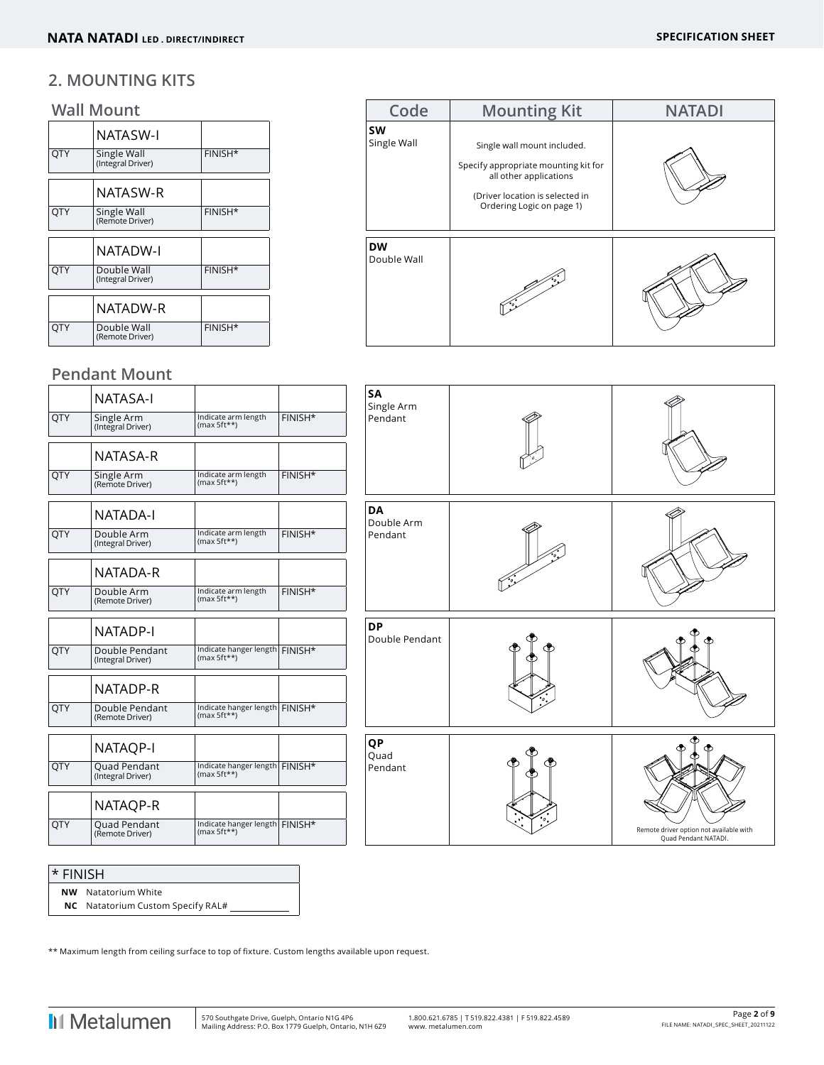#### **2. MOUNTING KITS**

#### **Wall Mount**

|            | <b>NATASW-I</b>                  |         |  |
|------------|----------------------------------|---------|--|
| <b>OTY</b> | Single Wall<br>(Integral Driver) | FINISH* |  |
|            | NATASW-R                         |         |  |
| <b>OTY</b> | Single Wall<br>(Remote Driver)   | FINISH* |  |
|            | <b>NATADW-I</b>                  |         |  |
| <b>OTY</b> | Double Wall<br>(Integral Driver) | FINISH* |  |
|            | NATADW-R                         |         |  |
| <b>OTY</b> | Double Wall<br>(Remote Driver)   | FINISH* |  |
|            |                                  |         |  |

| Code                     | <b>Mounting Kit</b>                                                                                                                                           | <b>NATADI</b> |
|--------------------------|---------------------------------------------------------------------------------------------------------------------------------------------------------------|---------------|
| <b>SW</b><br>Single Wall | Single wall mount included.<br>Specify appropriate mounting kit for<br>all other applications<br>(Driver location is selected in<br>Ordering Logic on page 1) |               |
| <b>DW</b><br>Double Wall |                                                                                                                                                               |               |

#### **Pendant Mount**

|            | NATASA-I                            |                                                   |         | SΑ<br>Sin: |
|------------|-------------------------------------|---------------------------------------------------|---------|------------|
| <b>OTY</b> | Single Arm<br>(Integral Driver)     | Indicate arm length<br>$(max 5ft**)$              | FINISH* | Per        |
|            | NATASA-R                            |                                                   |         |            |
| <b>OTY</b> | Single Arm<br>(Remote Driver)       | Indicate arm length<br>$(max 5ft**)$              | FINISH* |            |
|            | NATADA-I                            |                                                   |         | DA<br>Doi  |
| QTY        | Double Arm<br>(Integral Driver)     | Indicate arm length<br>$(max 5ft**)$              | FINISH* | Per        |
|            | NATADA-R                            |                                                   |         |            |
| QTY        | Double Arm<br>(Remote Driver)       | Indicate arm length<br>$(max 5ft**)$              | FINISH* |            |
|            | NATADP-I                            |                                                   |         | DP<br>Doı  |
| QTY        | Double Pendant<br>(Integral Driver) | Indicate hanger length FINISH*<br>$(max 5ft**)$   |         |            |
|            | NATADP-R                            |                                                   |         |            |
| <b>OTY</b> | Double Pendant<br>(Remote Driver)   | Indicate hanger length FINISH*<br>$(max 5ft**)$   |         |            |
|            | <b>NATAQP-I</b>                     |                                                   |         | QP<br>Qu   |
| <b>OTY</b> | Quad Pendant<br>(Integral Driver)   | Indicate hanger length   FINISH*<br>$(max 5ft**)$ |         | Per        |
|            | NATAQP-R                            |                                                   |         |            |
| QTY        | Quad Pendant<br>(Remote Driver)     | Indicate hanger length FINISH*<br>$(max 5ft**)$   |         |            |



#### \* FINISH

**NW** Natatorium White

**NC** Natatorium Custom Specify RAL#

\*\* Maximum length from ceiling surface to top of fixture. Custom lengths available upon request.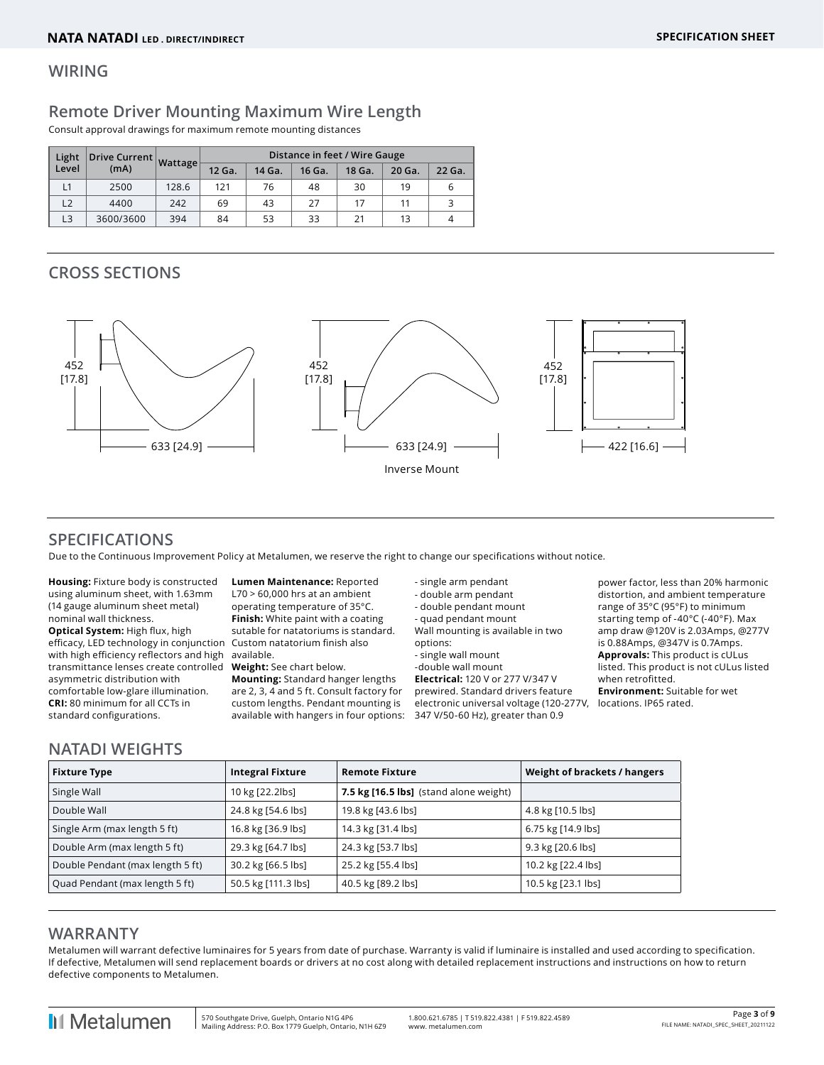#### **WIRING**

#### **Remote Driver Mounting Maximum Wire Length**

Consult approval drawings for maximum remote mounting distances

| Light<br>Drive Current Wattage |           |       | Distance in feet / Wire Gauge |        |        |        |        |        |  |  |
|--------------------------------|-----------|-------|-------------------------------|--------|--------|--------|--------|--------|--|--|
| Level                          | (mA)      |       | 12 Ga.                        | 14 Ga. | 16 Ga. | 18 Ga. | 20 Ga. | 22 Ga. |  |  |
| L1                             | 2500      | 128.6 | 121                           | 76     | 48     | 30     | 19     |        |  |  |
| L2                             | 4400      | 242   | 69                            | 43     | 27     | 17     | 11     |        |  |  |
| L3                             | 3600/3600 | 394   | 84                            | 53     | 33     | 21     | 13     |        |  |  |

#### **CROSS SECTIONS**



#### **SPECIFICATIONS**

Due to the Continuous Improvement Policy at Metalumen, we reserve the right to change our specifications without notice.

**Housing:** Fixture body is constructed using aluminum sheet, with 1.63mm (14 gauge aluminum sheet metal) nominal wall thickness. **Optical System:** High flux, high efficacy, LED technology in conjunction Custom natatorium finish also with high efficiency reflectors and high available. transmittance lenses create controlled **Weight:** See chart below. asymmetric distribution with comfortable low-glare illumination. **CRI:** 80 minimum for all CCTs in standard configurations.

**Lumen Maintenance:** Reported L70 > 60,000 hrs at an ambient operating temperature of 35°C. **Finish:** White paint with a coating sutable for natatoriums is standard.

**Mounting:** Standard hanger lengths are 2, 3, 4 and 5 ft. Consult factory for custom lengths. Pendant mounting is available with hangers in four options: - single arm pendant

- double arm pendant - double pendant mount - quad pendant mount Wall mounting is available in two options:

- single wall mount -double wall mount **Electrical:** 120 V or 277 V/347 V prewired. Standard drivers feature electronic universal voltage (120-277V, 347 V/50-60 Hz), greater than 0.9

power factor, less than 20% harmonic distortion, and ambient temperature range of 35°C (95°F) to minimum starting temp of -40°C (-40°F). Max amp draw @120V is 2.03Amps, @277V is 0.88Amps, @347V is 0.7Amps. **Approvals:** This product is cULus listed. This product is not cULus listed when retrofitted. **Environment:** Suitable for wet locations. IP65 rated.

#### **NATADI WEIGHTS**

| <b>Fixture Type</b>              | <b>Integral Fixture</b> | <b>Remote Fixture</b>                  | Weight of brackets / hangers |
|----------------------------------|-------------------------|----------------------------------------|------------------------------|
| Single Wall                      | 10 kg [22.2lbs]         | 7.5 kg [16.5 lbs] (stand alone weight) |                              |
| Double Wall                      | 24.8 kg [54.6 lbs]      | 19.8 kg [43.6 lbs]                     | 4.8 kg [10.5 lbs]            |
| Single Arm (max length 5 ft)     | 16.8 kg [36.9 lbs]      | 14.3 kg [31.4 lbs]                     | 6.75 kg [14.9 lbs]           |
| Double Arm (max length 5 ft)     | 29.3 kg [64.7 lbs]      | 24.3 kg [53.7 lbs]                     | 9.3 kg [20.6 lbs]            |
| Double Pendant (max length 5 ft) | 30.2 kg [66.5 lbs]      | 25.2 kg [55.4 lbs]                     | 10.2 kg [22.4 lbs]           |
| Quad Pendant (max length 5 ft)   | 50.5 kg [111.3 lbs]     | 40.5 kg [89.2 lbs]                     | 10.5 kg [23.1 lbs]           |

#### **WARRANTY**

Metalumen will warrant defective luminaires for 5 years from date of purchase. Warranty is valid if luminaire is installed and used according to specification. If defective, Metalumen will send replacement boards or drivers at no cost along with detailed replacement instructions and instructions on how to return defective components to Metalumen.

**I**I Metalumen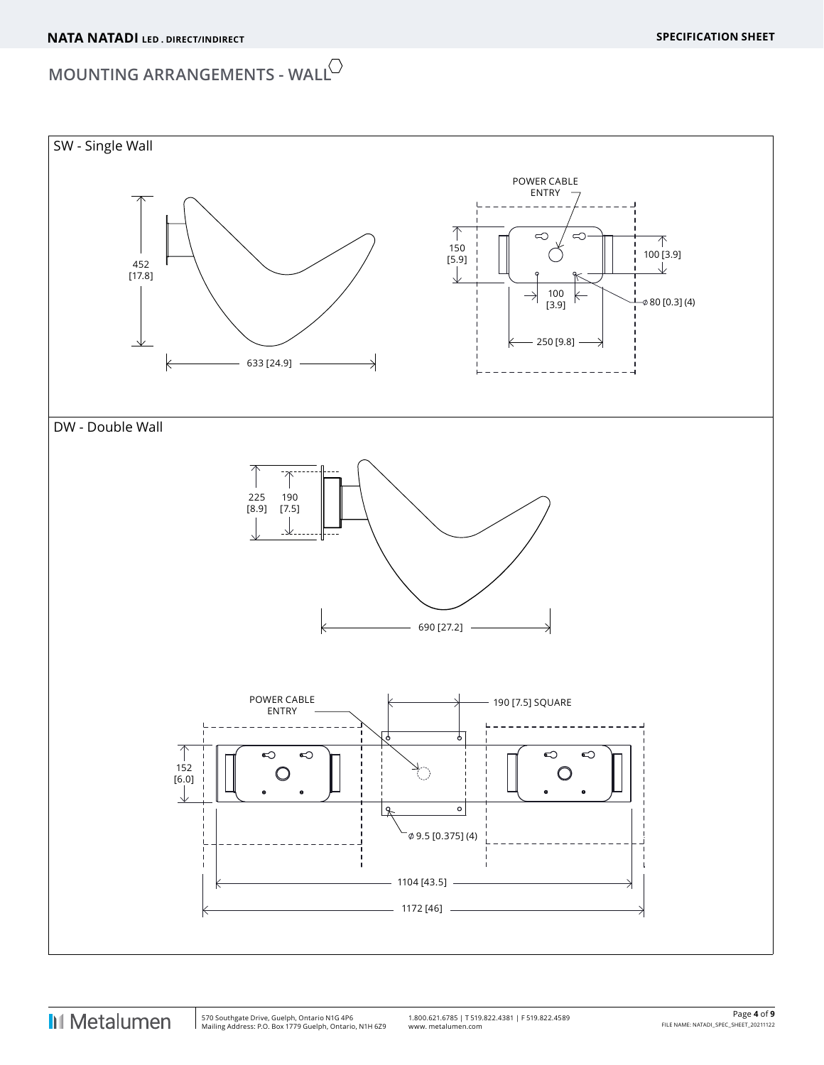# **MOUNTING ARRANGEMENTS - WALL**

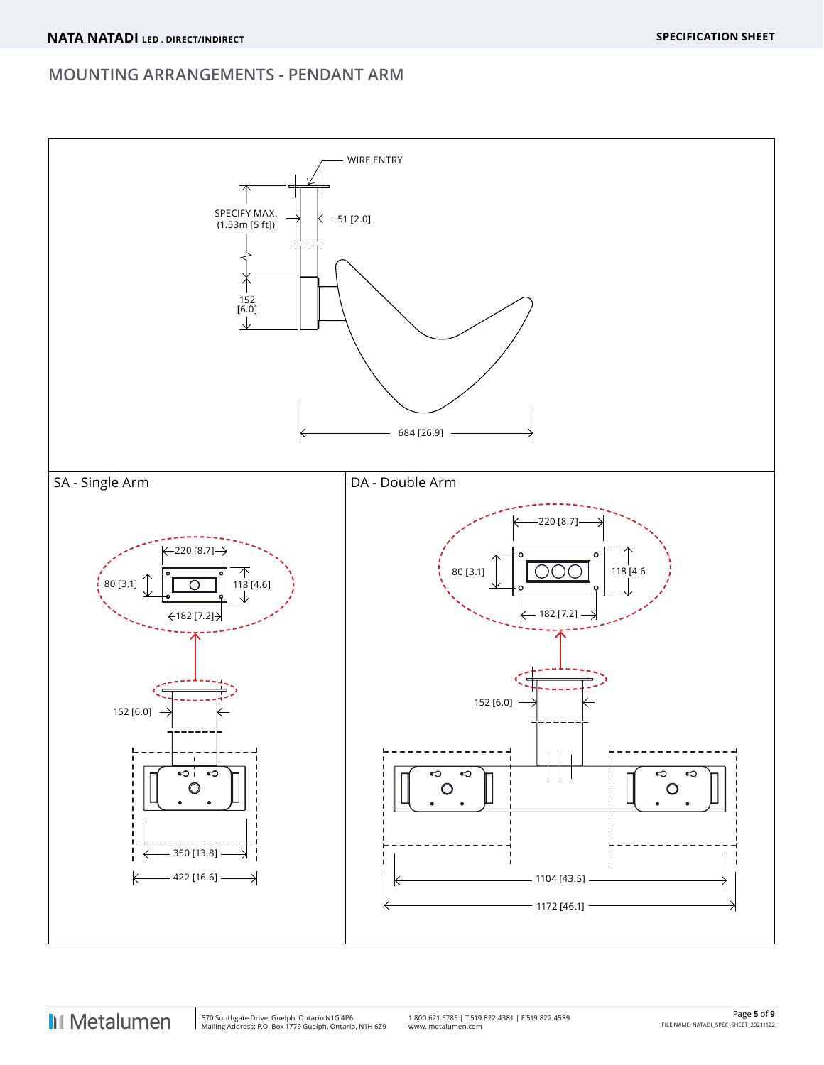### **MOUNTING ARRANGEMENTS - PENDANT ARM**

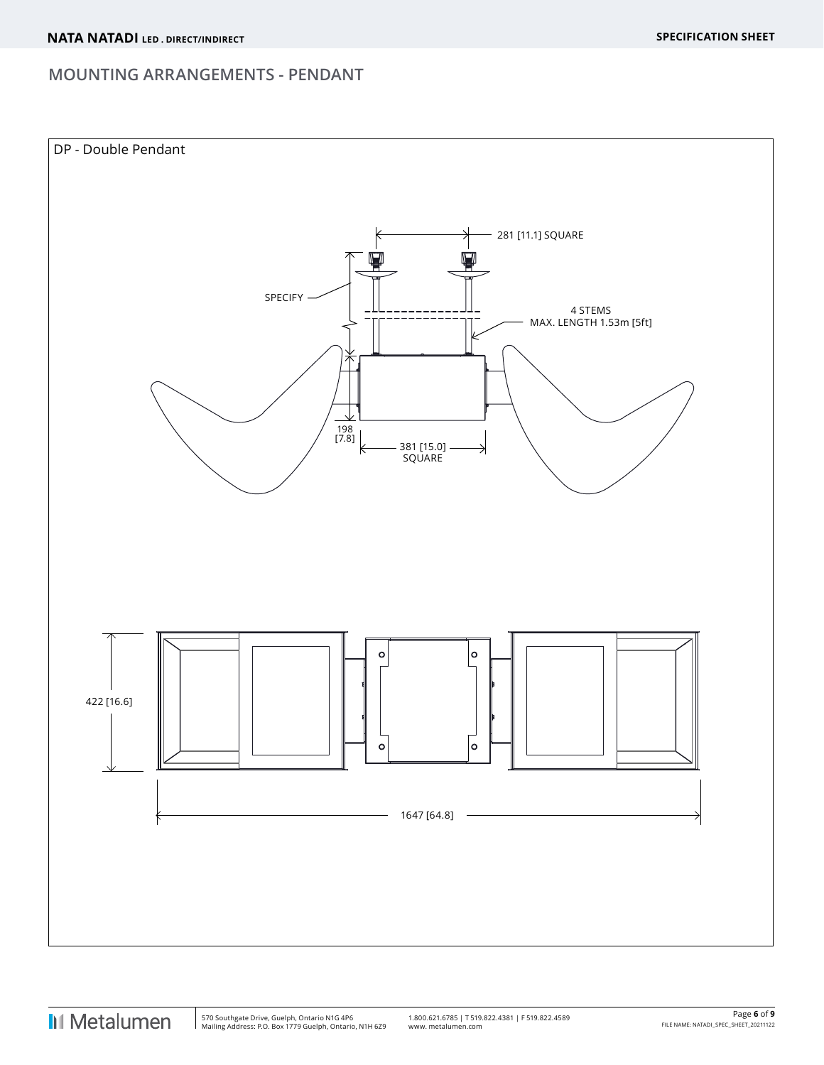#### **MOUNTING ARRANGEMENTS - PENDANT**



 $\overline{\phantom{a}}$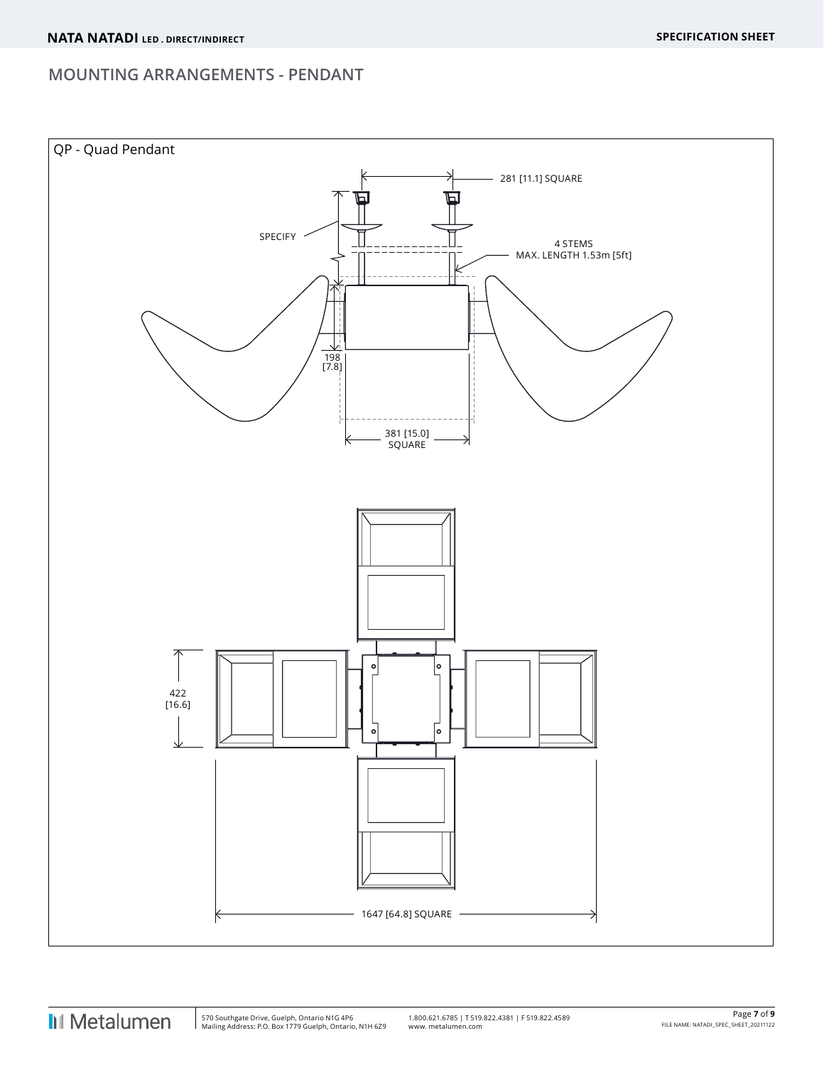#### **MOUNTING ARRANGEMENTS - PENDANT**



 $\overline{\phantom{a}}$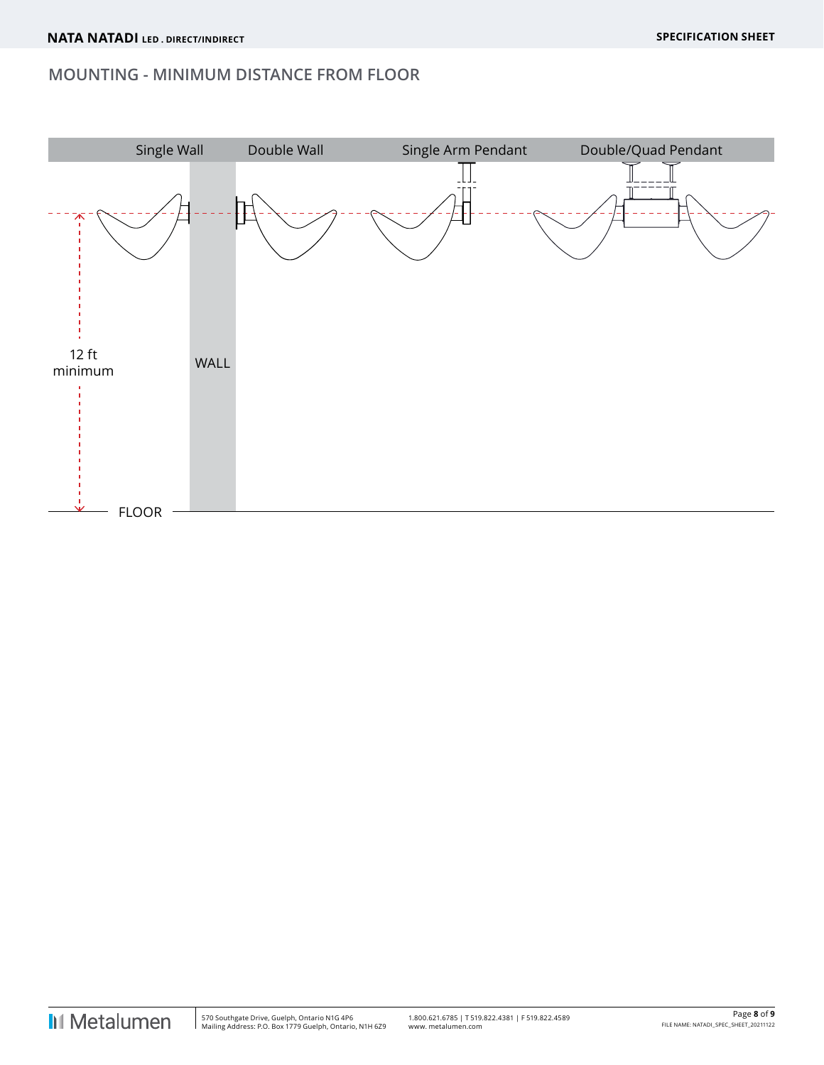#### **MOUNTING - MINIMUM DISTANCE FROM FLOOR**



I